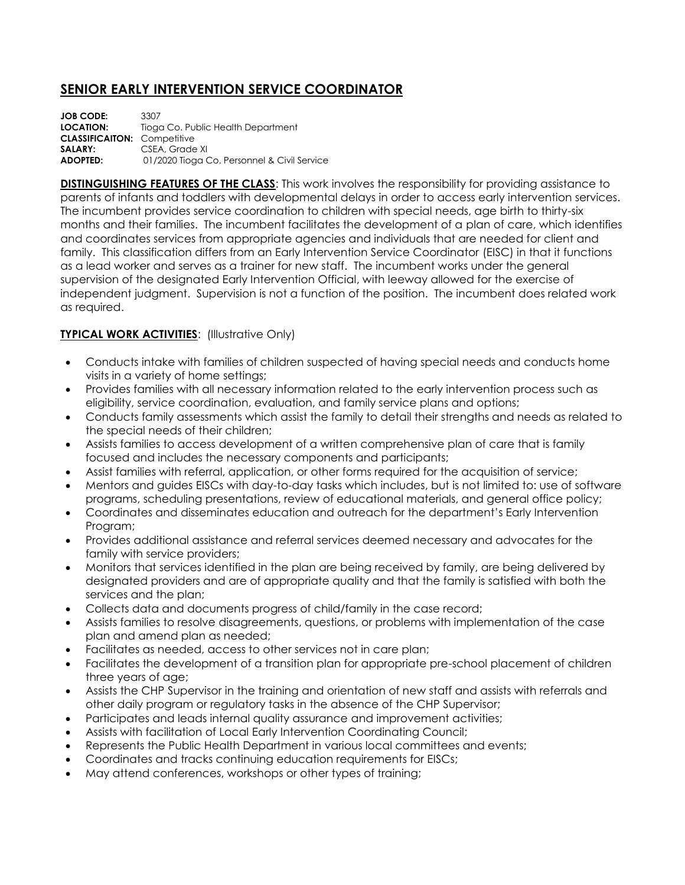## **SENIOR EARLY INTERVENTION SERVICE COORDINATOR**

**JOB CODE:** 3307 **LOCATION:** Tioga Co. Public Health Department **CLASSIFICAITON:** Competitive SALARY: CSEA, Grade XI **ADOPTED:** 01/2020 Tioga Co. Personnel & Civil Service

**DISTINGUISHING FEATURES OF THE CLASS**: This work involves the responsibility for providing assistance to parents of infants and toddlers with developmental delays in order to access early intervention services. The incumbent provides service coordination to children with special needs, age birth to thirty-six months and their families. The incumbent facilitates the development of a plan of care, which identifies and coordinates services from appropriate agencies and individuals that are needed for client and family. This classification differs from an Early Intervention Service Coordinator (EISC) in that it functions as a lead worker and serves as a trainer for new staff. The incumbent works under the general supervision of the designated Early Intervention Official, with leeway allowed for the exercise of independent judgment. Supervision is not a function of the position. The incumbent does related work as required.

## **TYPICAL WORK ACTIVITIES: (Illustrative Only)**

- Conducts intake with families of children suspected of having special needs and conducts home visits in a variety of home settings;
- Provides families with all necessary information related to the early intervention process such as eligibility, service coordination, evaluation, and family service plans and options;
- Conducts family assessments which assist the family to detail their strengths and needs as related to the special needs of their children;
- Assists families to access development of a written comprehensive plan of care that is family focused and includes the necessary components and participants;
- Assist families with referral, application, or other forms required for the acquisition of service;
- Mentors and guides EISCs with day-to-day tasks which includes, but is not limited to: use of software programs, scheduling presentations, review of educational materials, and general office policy;
- Coordinates and disseminates education and outreach for the department's Early Intervention Program;
- Provides additional assistance and referral services deemed necessary and advocates for the family with service providers;
- Monitors that services identified in the plan are being received by family, are being delivered by designated providers and are of appropriate quality and that the family is satisfied with both the services and the plan;
- Collects data and documents progress of child/family in the case record;
- Assists families to resolve disagreements, questions, or problems with implementation of the case plan and amend plan as needed;
- Facilitates as needed, access to other services not in care plan;
- Facilitates the development of a transition plan for appropriate pre-school placement of children three years of age;
- Assists the CHP Supervisor in the training and orientation of new staff and assists with referrals and other daily program or regulatory tasks in the absence of the CHP Supervisor;
- Participates and leads internal quality assurance and improvement activities;
- Assists with facilitation of Local Early Intervention Coordinating Council;
- Represents the Public Health Department in various local committees and events;
- Coordinates and tracks continuing education requirements for EISCs;
- May attend conferences, workshops or other types of training;